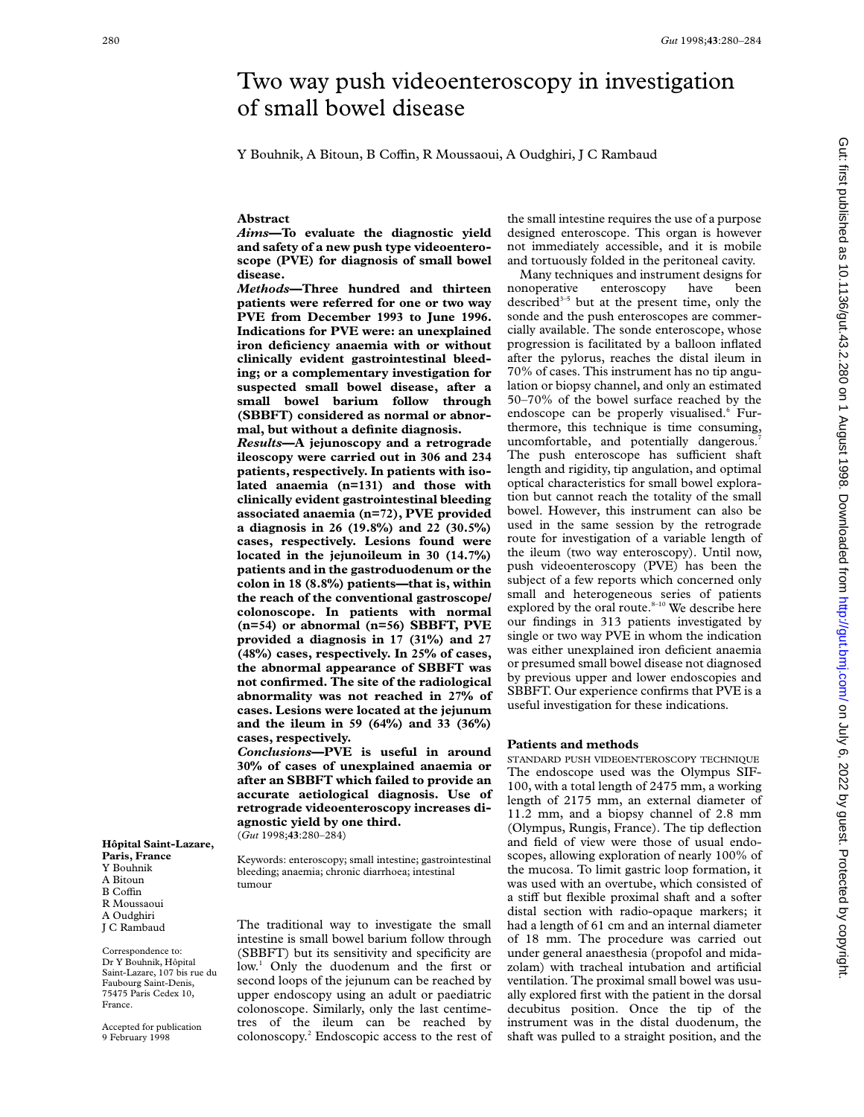# Two way push videoenteroscopy in investigation of small bowel disease

Y Bouhnik, A Bitoun, B Coffin, R Moussaoui, A Oudghiri, J C Rambaud

# **Abstract**

*Aims***—To evaluate the diagnostic yield and safety of a new push type videoenteroscope (PVE) for diagnosis of small bowel disease.**

*Methods***—Three hundred and thirteen patients were referred for one or two way PVE from December 1993 to June 1996. Indications for PVE were: an unexplained iron deficiency anaemia with or without clinically evident gastrointestinal bleeding; or a complementary investigation for suspected small bowel disease, after a small bowel barium follow through (SBBFT) considered as normal or abnormal, but without a definite diagnosis.**

*Results***—A jejunoscopy and a retrograde ileoscopy were carried out in 306 and 234 patients, respectively. In patients with isolated anaemia (n=131) and those with clinically evident gastrointestinal bleeding associated anaemia (n=72), PVE provided a diagnosis in 26 (19.8%) and 22 (30.5%) cases, respectively. Lesions found were located in the jejunoileum in 30 (14.7%) patients and in the gastroduodenum or the colon in 18 (8.8%) patients—that is, within the reach of the conventional gastroscope/ colonoscope. In patients with normal (n=54) or abnormal (n=56) SBBFT, PVE provided a diagnosis in 17 (31%) and 27 (48%) cases, respectively. In 25% of cases, the abnormal appearance of SBBFT was not confirmed. The site of the radiological abnormality was not reached in 27% of cases. Lesions were located at the jejunum and the ileum in 59 (64%) and 33 (36%) cases, respectively.**

*Conclusions***—PVE is useful in around 30% of cases of unexplained anaemia or after an SBBFT which failed to provide an accurate aetiological diagnosis. Use of retrograde videoenteroscopy increases diagnostic yield by one third.**

(*Gut* 1998;**43**:280–284)

Keywords: enteroscopy; small intestine; gastrointestinal bleeding; anaemia; chronic diarrhoea; intestinal tumour

The traditional way to investigate the small intestine is small bowel barium follow through (SBBFT) but its sensitivity and specificity are low.<sup>1</sup> Only the duodenum and the first or second loops of the jejunum can be reached by upper endoscopy using an adult or paediatric colonoscope. Similarly, only the last centimetres of the ileum can be reached by colonoscopy.2 Endoscopic access to the rest of the small intestine requires the use of a purpose designed enteroscope. This organ is however not immediately accessible, and it is mobile and tortuously folded in the peritoneal cavity.

Many techniques and instrument designs for nonoperative enteroscopy have been described $3-5$  but at the present time, only the sonde and the push enteroscopes are commercially available. The sonde enteroscope, whose progression is facilitated by a balloon inflated after the pylorus, reaches the distal ileum in 70% of cases. This instrument has no tip angulation or biopsy channel, and only an estimated 50–70% of the bowel surface reached by the endoscope can be properly visualised.<sup>6</sup> Furthermore, this technique is time consuming, uncomfortable, and potentially dangerous.<sup>7</sup> The push enteroscope has sufficient shaft length and rigidity, tip angulation, and optimal optical characteristics for small bowel exploration but cannot reach the totality of the small bowel. However, this instrument can also be used in the same session by the retrograde route for investigation of a variable length of the ileum (two way enteroscopy). Until now, push videoenteroscopy (PVE) has been the subject of a few reports which concerned only small and heterogeneous series of patients explored by the oral route.<sup>8-10</sup> We describe here our findings in 313 patients investigated by single or two way PVE in whom the indication was either unexplained iron deficient anaemia or presumed small bowel disease not diagnosed by previous upper and lower endoscopies and SBBFT. Our experience confirms that PVE is a useful investigation for these indications.

## **Patients and methods**

STANDARD PUSH VIDEOENTEROSCOPY TECHNIQUE The endoscope used was the Olympus SIF-100, with a total length of 2475 mm, a working length of 2175 mm, an external diameter of 11.2 mm, and a biopsy channel of 2.8 mm (Olympus, Rungis, France). The tip deflection and field of view were those of usual endoscopes, allowing exploration of nearly 100% of the mucosa. To limit gastric loop formation, it was used with an overtube, which consisted of a stiff but flexible proximal shaft and a softer distal section with radio-opaque markers; it had a length of 61 cm and an internal diameter of 18 mm. The procedure was carried out under general anaesthesia (propofol and midazolam) with tracheal intubation and artificial ventilation. The proximal small bowel was usually explored first with the patient in the dorsal decubitus position. Once the tip of the instrument was in the distal duodenum, the shaft was pulled to a straight position, and the

**Paris, France** Y Bouhnik A Bitoun B Coffin R Moussaoui A Oudghiri J C Rambaud

**Hôpital Saint-Lazare,**

Correspondence to: Dr Y Bouhnik, Hôpital Saint-Lazare, 107 bis rue du Faubourg Saint-Denis, 75475 Paris Cedex 10, France.

Accepted for publication 9 February 1998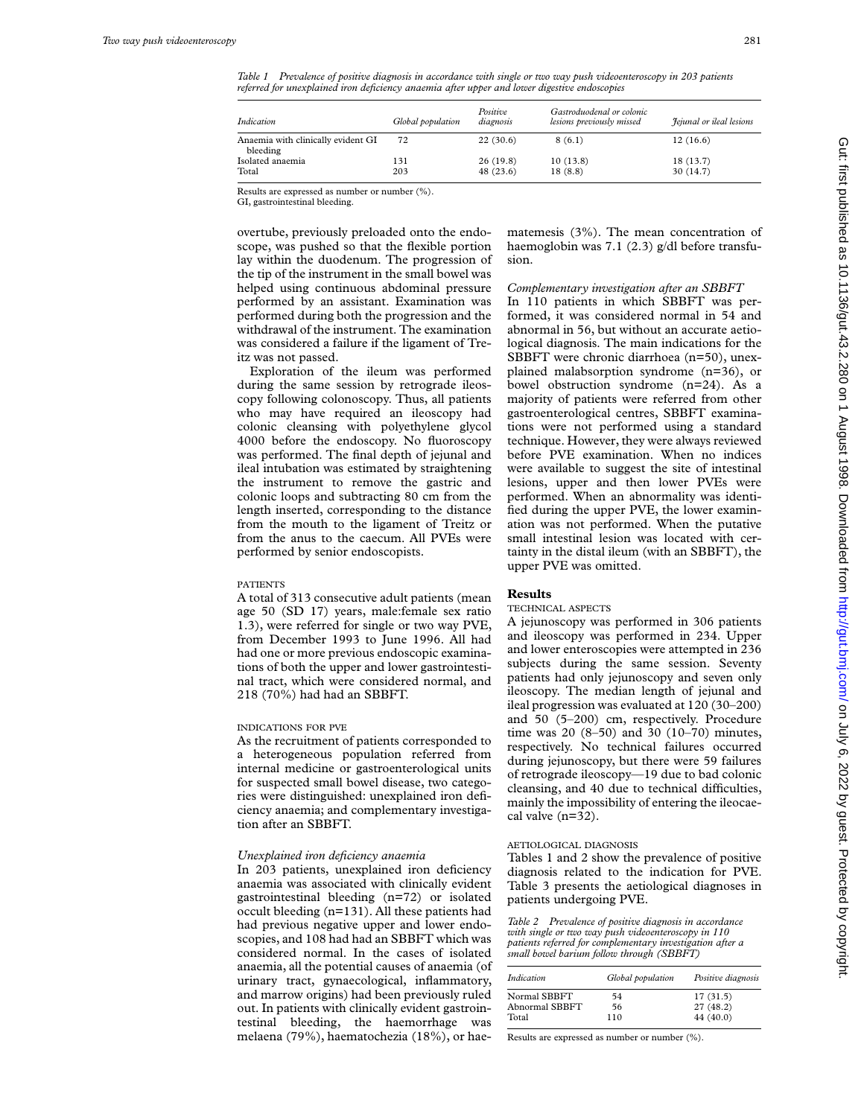*Table 1 Prevalence of positive diagnosis in accordance with single or two way push videoenteroscopy in 203 patients referred for unexplained iron deficiency anaemia after upper and lower digestive endoscopies*

| Indication                                     | Global population | Positive<br>diagnosis | Gastroduodenal or colonic<br>lesions previously missed | <i>Fejunal or ileal lesions</i> |
|------------------------------------------------|-------------------|-----------------------|--------------------------------------------------------|---------------------------------|
| Anaemia with clinically evident GI<br>bleeding | 72                | 22(30.6)              | 8(6.1)                                                 | 12(16.6)                        |
| Isolated anaemia                               | 131               | 26(19.8)              | 10(13.8)                                               | 18(13.7)                        |
| Total                                          | 203               | 48(23.6)              | 18(8.8)                                                | 30(14.7)                        |

Results are expressed as number or number (%).

GI, gastrointestinal bleeding.

overtube, previously preloaded onto the endoscope, was pushed so that the flexible portion lay within the duodenum. The progression of the tip of the instrument in the small bowel was helped using continuous abdominal pressure performed by an assistant. Examination was performed during both the progression and the withdrawal of the instrument. The examination was considered a failure if the ligament of Treitz was not passed.

Exploration of the ileum was performed during the same session by retrograde ileoscopy following colonoscopy. Thus, all patients who may have required an ileoscopy had colonic cleansing with polyethylene glycol 4000 before the endoscopy. No fluoroscopy was performed. The final depth of jejunal and ileal intubation was estimated by straightening the instrument to remove the gastric and colonic loops and subtracting 80 cm from the length inserted, corresponding to the distance from the mouth to the ligament of Treitz or from the anus to the caecum. All PVEs were performed by senior endoscopists.

#### PATIENTS

A total of 313 consecutive adult patients (mean age 50 (SD 17) years, male:female sex ratio 1.3), were referred for single or two way PVE, from December 1993 to June 1996. All had had one or more previous endoscopic examinations of both the upper and lower gastrointestinal tract, which were considered normal, and 218 (70%) had had an SBBFT.

### INDICATIONS FOR PVE

As the recruitment of patients corresponded to a heterogeneous population referred from internal medicine or gastroenterological units for suspected small bowel disease, two categories were distinguished: unexplained iron deficiency anaemia; and complementary investigation after an SBBFT.

#### *Unexplained iron deficiency anaemia*

In 203 patients, unexplained iron deficiency anaemia was associated with clinically evident gastrointestinal bleeding (n=72) or isolated occult bleeding (n=131). All these patients had had previous negative upper and lower endoscopies, and 108 had had an SBBFT which was considered normal. In the cases of isolated anaemia, all the potential causes of anaemia (of urinary tract, gynaecological, inflammatory, and marrow origins) had been previously ruled out. In patients with clinically evident gastrointestinal bleeding, the haemorrhage was melaena (79%), haematochezia (18%), or haematemesis (3%). The mean concentration of haemoglobin was 7.1 (2.3) g/dl before transfusion.

# *Complementary investigation after an SBBFT*

In 110 patients in which SBBFT was performed, it was considered normal in 54 and abnormal in 56, but without an accurate aetiological diagnosis. The main indications for the SBBFT were chronic diarrhoea (n=50), unexplained malabsorption syndrome (n=36), or bowel obstruction syndrome (n=24). As a majority of patients were referred from other gastroenterological centres, SBBFT examinations were not performed using a standard technique. However, they were always reviewed before PVE examination. When no indices were available to suggest the site of intestinal lesions, upper and then lower PVEs were performed. When an abnormality was identified during the upper PVE, the lower examination was not performed. When the putative small intestinal lesion was located with certainty in the distal ileum (with an SBBFT), the upper PVE was omitted.

## **Results**

## TECHNICAL ASPECTS

A jejunoscopy was performed in 306 patients and ileoscopy was performed in 234. Upper and lower enteroscopies were attempted in 236 subjects during the same session. Seventy patients had only jejunoscopy and seven only ileoscopy. The median length of jejunal and ileal progression was evaluated at 120 (30–200) and 50 (5–200) cm, respectively. Procedure time was 20 (8–50) and 30 (10–70) minutes, respectively. No technical failures occurred during jejunoscopy, but there were 59 failures of retrograde ileoscopy—19 due to bad colonic cleansing, and 40 due to technical difficulties, mainly the impossibility of entering the ileocaecal valve (n=32).

#### AETIOLOGICAL DIAGNOSIS

Tables 1 and 2 show the prevalence of positive diagnosis related to the indication for PVE. Table 3 presents the aetiological diagnoses in patients undergoing PVE.

*Table 2 Prevalence of positive diagnosis in accordance with single or two way push videoenteroscopy in 110 patients referred for complementary investigation after a small bowel barium follow through (SBBFT)*

| Indication     | Global population | Positive diagnosis |
|----------------|-------------------|--------------------|
| Normal SBBFT   | 54                | 17(31.5)           |
| Abnormal SBBFT | 56                | 27 (48.2)          |
| Total          | 110               | 44 (40.0)          |

Results are expressed as number or number (%).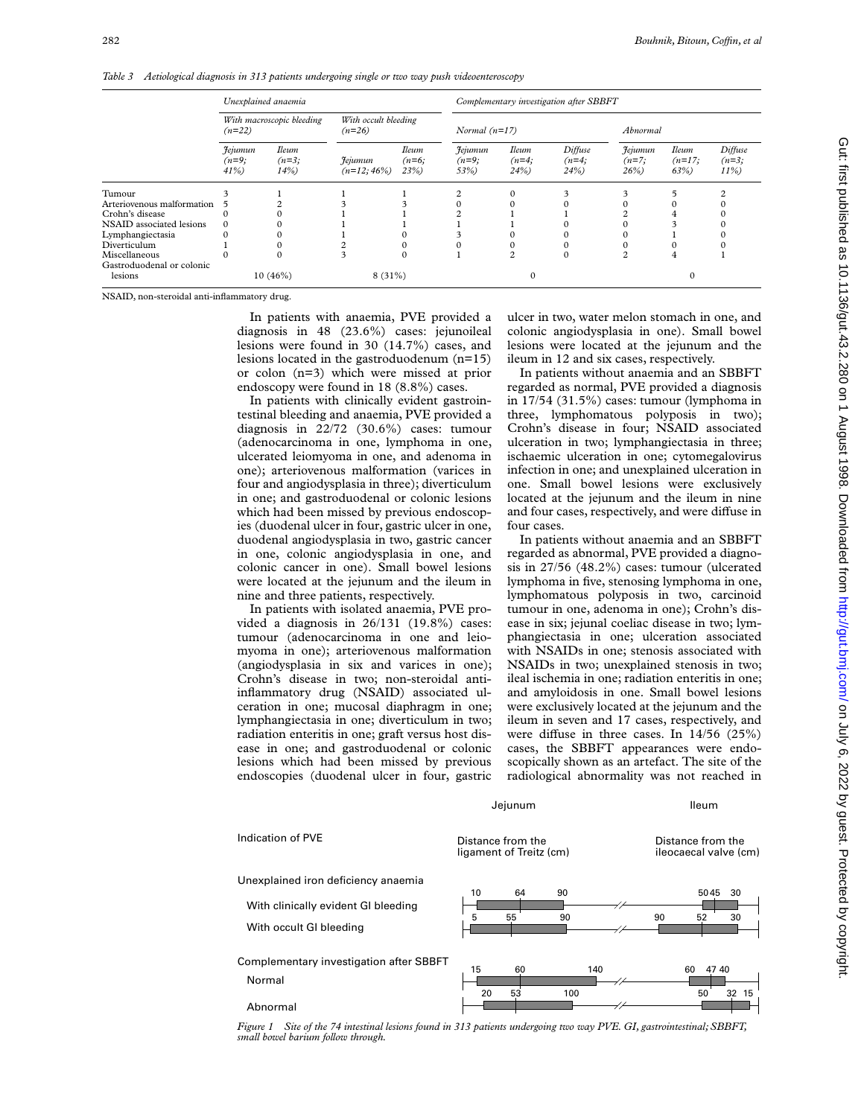*Table 3 Aetiological diagnosis in 313 patients undergoing single or two way push videoenteroscopy*

|                            | Unexplained anaemia                   |                                |                                  | Complementary investigation after SBBFT |                                   |                                |                           |                               |                                 |                               |
|----------------------------|---------------------------------------|--------------------------------|----------------------------------|-----------------------------------------|-----------------------------------|--------------------------------|---------------------------|-------------------------------|---------------------------------|-------------------------------|
|                            | With macroscopic bleeding<br>$(n=22)$ |                                | With occult bleeding<br>$(n=26)$ |                                         | Normal $(n=17)$                   |                                |                           | Abnormal                      |                                 |                               |
|                            | Jejumun<br>$(n=9;$<br>41%             | <b>Ileum</b><br>$(n=3;$<br>14% | <i>Fejumun</i><br>$(n=12; 46\%)$ | <b>Ileum</b><br>$(n=6;$<br>23%          | <b>Jejumun</b><br>$(n=9;$<br>53%) | <b>Ileum</b><br>$(n=4;$<br>24% | Diffuse<br>$(n=4;$<br>24% | Jejumun<br>$(n=7;$<br>$26\%)$ | <b>Ileum</b><br>$(n=17;$<br>63% | Diffuse<br>$(n=3;$<br>$11\%)$ |
| Tumour                     |                                       |                                |                                  |                                         |                                   |                                |                           |                               |                                 |                               |
| Arteriovenous malformation |                                       |                                |                                  |                                         |                                   |                                |                           |                               |                                 |                               |
| Crohn's disease            |                                       |                                |                                  |                                         |                                   |                                |                           |                               |                                 |                               |
| NSAID associated lesions   | $\Omega$                              |                                |                                  |                                         |                                   |                                |                           |                               |                                 |                               |
| Lymphangiectasia           |                                       | 0                              |                                  |                                         |                                   |                                |                           |                               |                                 |                               |
| Diverticulum               |                                       | 0                              |                                  | 0                                       |                                   |                                |                           |                               |                                 |                               |
| Miscellaneous              |                                       | $\Omega$                       |                                  | $\Omega$                                |                                   |                                |                           |                               | 4                               |                               |
| Gastroduodenal or colonic  |                                       |                                |                                  |                                         |                                   |                                |                           |                               |                                 |                               |
| lesions                    |                                       | $10(46\%)$                     | $8(31\%)$                        |                                         |                                   |                                |                           |                               | $\Omega$                        |                               |

NSAID, non-steroidal anti-inflammatory drug.

In patients with anaemia, PVE provided a diagnosis in 48 (23.6%) cases: jejunoileal lesions were found in 30 (14.7%) cases, and lesions located in the gastroduodenum (n=15) or colon (n=3) which were missed at prior endoscopy were found in 18 (8.8%) cases.

In patients with clinically evident gastrointestinal bleeding and anaemia, PVE provided a diagnosis in 22/72 (30.6%) cases: tumour (adenocarcinoma in one, lymphoma in one, ulcerated leiomyoma in one, and adenoma in one); arteriovenous malformation (varices in four and angiodysplasia in three); diverticulum in one; and gastroduodenal or colonic lesions which had been missed by previous endoscopies (duodenal ulcer in four, gastric ulcer in one, duodenal angiodysplasia in two, gastric cancer in one, colonic angiodysplasia in one, and colonic cancer in one). Small bowel lesions were located at the jejunum and the ileum in nine and three patients, respectively.

In patients with isolated anaemia, PVE provided a diagnosis in 26/131 (19.8%) cases: tumour (adenocarcinoma in one and leiomyoma in one); arteriovenous malformation (angiodysplasia in six and varices in one); Crohn's disease in two; non-steroidal antiinflammatory drug (NSAID) associated ulceration in one; mucosal diaphragm in one; lymphangiectasia in one; diverticulum in two; radiation enteritis in one; graft versus host disease in one; and gastroduodenal or colonic lesions which had been missed by previous endoscopies (duodenal ulcer in four, gastric

ulcer in two, water melon stomach in one, and colonic angiodysplasia in one). Small bowel lesions were located at the jejunum and the ileum in 12 and six cases, respectively.

In patients without anaemia and an SBBFT regarded as normal, PVE provided a diagnosis in 17/54 (31.5%) cases: tumour (lymphoma in three, lymphomatous polyposis in two); Crohn's disease in four; NSAID associated ulceration in two; lymphangiectasia in three; ischaemic ulceration in one; cytomegalovirus infection in one; and unexplained ulceration in one. Small bowel lesions were exclusively located at the jejunum and the ileum in nine and four cases, respectively, and were diffuse in four cases.

In patients without anaemia and an SBBFT regarded as abnormal, PVE provided a diagnosis in 27/56 (48.2%) cases: tumour (ulcerated lymphoma in five, stenosing lymphoma in one, lymphomatous polyposis in two, carcinoid tumour in one, adenoma in one); Crohn's disease in six; jejunal coeliac disease in two; lymphangiectasia in one; ulceration associated with NSAIDs in one; stenosis associated with NSAIDs in two; unexplained stenosis in two; ileal ischemia in one; radiation enteritis in one; and amyloidosis in one. Small bowel lesions were exclusively located at the jejunum and the ileum in seven and 17 cases, respectively, and were diffuse in three cases. In  $14/56$  (25%) cases, the SBBFT appearances were endoscopically shown as an artefact. The site of the radiological abnormality was not reached in

Jejunum Ileum

| Indication of PVE                                                                                     | Distance from the<br>ligament of Treitz (cm) | Distance from the<br>ileocaecal valve (cm) |  |  |
|-------------------------------------------------------------------------------------------------------|----------------------------------------------|--------------------------------------------|--|--|
| Unexplained iron deficiency anaemia<br>With clinically evident GI bleeding<br>With occult GI bleeding | 90<br>10<br>64<br>55<br>5<br>90              | 30<br>5045<br>52<br>30<br>90               |  |  |
| Complementary investigation after SBBFT<br>Normal<br>Abnormal                                         | 15<br>60<br>140<br>20<br>53<br>100           | 47 40<br>60<br>32 15<br>50                 |  |  |

*Figure 1 Site of the 74 intestinal lesions found in 313 patients undergoing two way PVE. GI, gastrointestinal; SBBFT, small bowel barium follow through.*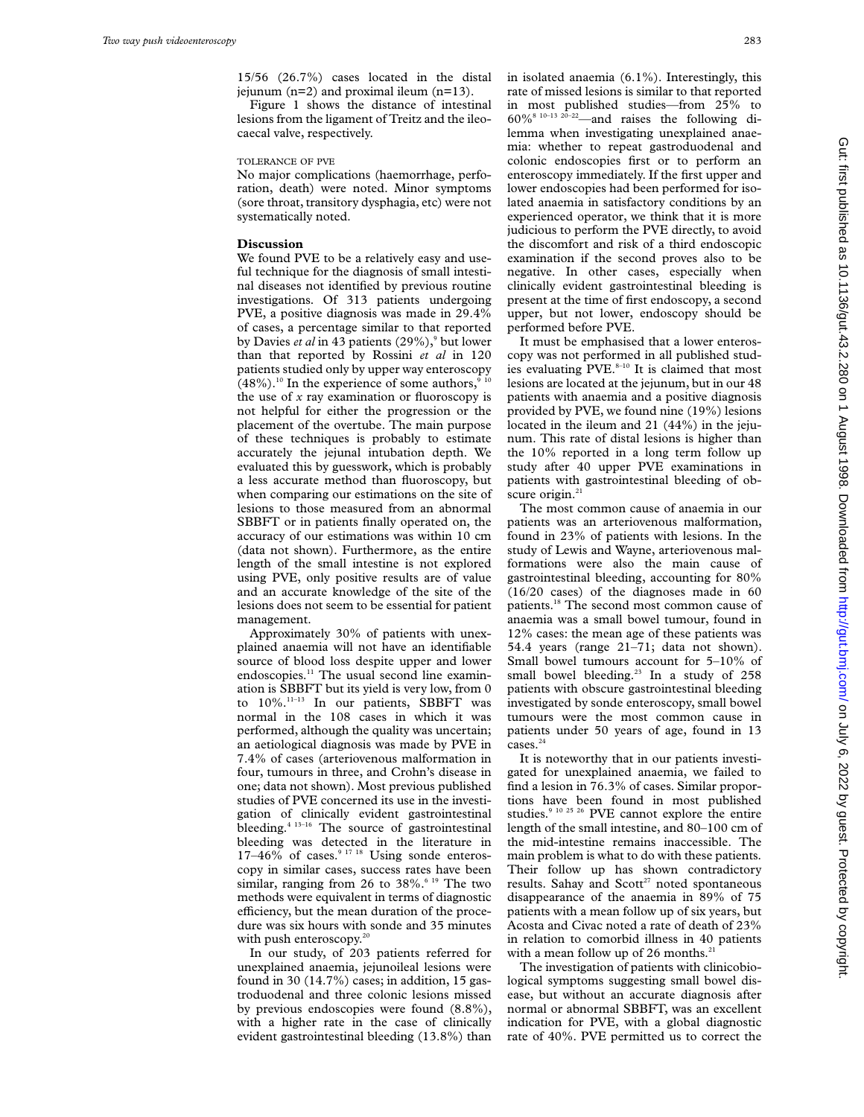15/56 (26.7%) cases located in the distal jejunum (n=2) and proximal ileum (n=13).

Figure 1 shows the distance of intestinal lesions from the ligament of Treitz and the ileocaecal valve, respectively.

# TOLERANCE OF PVE

No major complications (haemorrhage, perforation, death) were noted. Minor symptoms (sore throat, transitory dysphagia, etc) were not systematically noted.

#### **Discussion**

We found PVE to be a relatively easy and useful technique for the diagnosis of small intestinal diseases not identified by previous routine investigations. Of 313 patients undergoing PVE, a positive diagnosis was made in 29.4% of cases, a percentage similar to that reported by Davies *et al* in 43 patients (29%),<sup>9</sup> but lower than that reported by Rossini *et al* in 120 patients studied only by upper way enteroscopy  $(48\%)$ .<sup>10</sup> In the experience of some authors,<sup>9</sup> the use of *x* ray examination or fluoroscopy is not helpful for either the progression or the placement of the overtube. The main purpose of these techniques is probably to estimate accurately the jejunal intubation depth. We evaluated this by guesswork, which is probably a less accurate method than fluoroscopy, but when comparing our estimations on the site of lesions to those measured from an abnormal SBBFT or in patients finally operated on, the accuracy of our estimations was within 10 cm (data not shown). Furthermore, as the entire length of the small intestine is not explored using PVE, only positive results are of value and an accurate knowledge of the site of the lesions does not seem to be essential for patient management.

Approximately 30% of patients with unexplained anaemia will not have an identifiable source of blood loss despite upper and lower endoscopies.<sup>11</sup> The usual second line examination is SBBFT but its yield is very low, from 0 to 10%.<sup>11-13</sup> In our patients, SBBFT was normal in the 108 cases in which it was performed, although the quality was uncertain; an aetiological diagnosis was made by PVE in 7.4% of cases (arteriovenous malformation in four, tumours in three, and Crohn's disease in one; data not shown). Most previous published studies of PVE concerned its use in the investigation of clinically evident gastrointestinal bleeding.<sup>4 13-16</sup> The source of gastrointestinal bleeding was detected in the literature in  $17-46\%$  of cases.<sup>9 17 18</sup> Using sonde enteroscopy in similar cases, success rates have been similar, ranging from 26 to  $38\%$ .<sup>6 19</sup> The two methods were equivalent in terms of diagnostic efficiency, but the mean duration of the procedure was six hours with sonde and 35 minutes with push enteroscopy.<sup>20</sup>

In our study, of 203 patients referred for unexplained anaemia, jejunoileal lesions were found in 30  $(14.7\%)$  cases; in addition, 15 gastroduodenal and three colonic lesions missed by previous endoscopies were found (8.8%), with a higher rate in the case of clinically evident gastrointestinal bleeding (13.8%) than in isolated anaemia (6.1%). Interestingly, this rate of missed lesions is similar to that reported in most published studies—from 25% to  $60\%$ <sup>8 10–13 20–22</sup>—and raises the following dilemma when investigating unexplained anaemia: whether to repeat gastroduodenal and colonic endoscopies first or to perform an enteroscopy immediately. If the first upper and lower endoscopies had been performed for isolated anaemia in satisfactory conditions by an experienced operator, we think that it is more judicious to perform the PVE directly, to avoid the discomfort and risk of a third endoscopic examination if the second proves also to be negative. In other cases, especially when clinically evident gastrointestinal bleeding is present at the time of first endoscopy, a second upper, but not lower, endoscopy should be performed before PVE.

It must be emphasised that a lower enteroscopy was not performed in all published studies evaluating  $PVE<sub>0</sub><sup>8-10</sup>$  It is claimed that most lesions are located at the jejunum, but in our 48 patients with anaemia and a positive diagnosis provided by PVE, we found nine (19%) lesions located in the ileum and 21 (44%) in the jejunum. This rate of distal lesions is higher than the 10% reported in a long term follow up study after 40 upper PVE examinations in patients with gastrointestinal bleeding of obscure origin.<sup>21</sup>

The most common cause of anaemia in our patients was an arteriovenous malformation, found in 23% of patients with lesions. In the study of Lewis and Wayne, arteriovenous malformations were also the main cause of gastrointestinal bleeding, accounting for 80% (16/20 cases) of the diagnoses made in 60 patients.<sup>18</sup> The second most common cause of anaemia was a small bowel tumour, found in 12% cases: the mean age of these patients was 54.4 years (range 21–71; data not shown). Small bowel tumours account for 5–10% of small bowel bleeding.<sup>23</sup> In a study of 258 patients with obscure gastrointestinal bleeding investigated by sonde enteroscopy, small bowel tumours were the most common cause in patients under 50 years of age, found in 13 cases.<sup>24</sup>

It is noteworthy that in our patients investigated for unexplained anaemia, we failed to find a lesion in 76.3% of cases. Similar proportions have been found in most published studies.<sup>9 10 25 26</sup> PVE cannot explore the entire length of the small intestine, and 80–100 cm of the mid-intestine remains inaccessible. The main problem is what to do with these patients. Their follow up has shown contradictory results. Sahay and Scott<sup>27</sup> noted spontaneous disappearance of the anaemia in 89% of 75 patients with a mean follow up of six years, but Acosta and Civac noted a rate of death of 23% in relation to comorbid illness in 40 patients with a mean follow up of 26 months. $<sup>2</sup>$ </sup>

The investigation of patients with clinicobiological symptoms suggesting small bowel disease, but without an accurate diagnosis after normal or abnormal SBBFT, was an excellent indication for PVE, with a global diagnostic rate of 40%. PVE permitted us to correct the